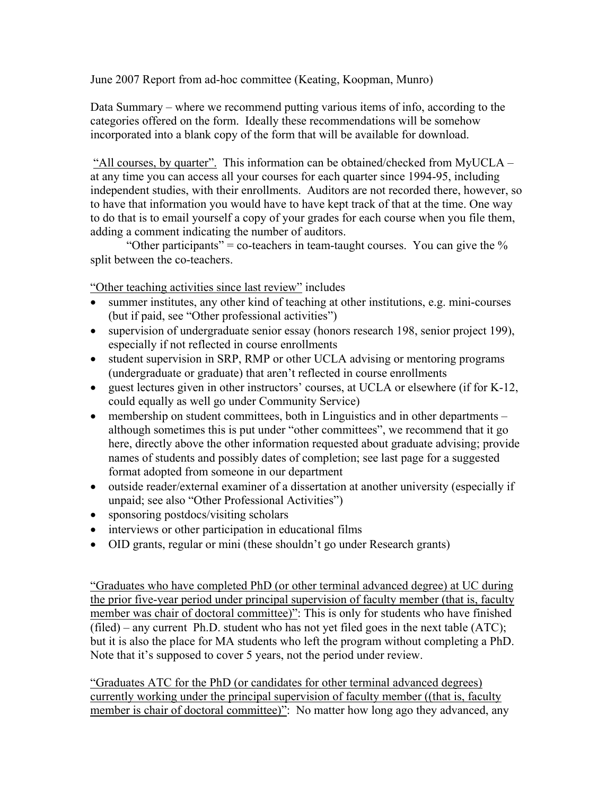June 2007 Report from ad-hoc committee (Keating, Koopman, Munro)

Data Summary – where we recommend putting various items of info, according to the categories offered on the form. Ideally these recommendations will be somehow incorporated into a blank copy of the form that will be available for download.

 "All courses, by quarter". This information can be obtained/checked from MyUCLA – at any time you can access all your courses for each quarter since 1994-95, including independent studies, with their enrollments. Auditors are not recorded there, however, so to have that information you would have to have kept track of that at the time. One way to do that is to email yourself a copy of your grades for each course when you file them, adding a comment indicating the number of auditors.

"Other participants" = co-teachers in team-taught courses. You can give the  $\%$ split between the co-teachers.

"Other teaching activities since last review" includes

- summer institutes, any other kind of teaching at other institutions, e.g. mini-courses (but if paid, see "Other professional activities")
- supervision of undergraduate senior essay (honors research 198, senior project 199), especially if not reflected in course enrollments
- student supervision in SRP, RMP or other UCLA advising or mentoring programs (undergraduate or graduate) that aren't reflected in course enrollments
- guest lectures given in other instructors' courses, at UCLA or elsewhere (if for K-12, could equally as well go under Community Service)
- membership on student committees, both in Linguistics and in other departments although sometimes this is put under "other committees", we recommend that it go here, directly above the other information requested about graduate advising; provide names of students and possibly dates of completion; see last page for a suggested format adopted from someone in our department
- outside reader/external examiner of a dissertation at another university (especially if unpaid; see also "Other Professional Activities")
- sponsoring postdocs/visiting scholars
- interviews or other participation in educational films
- OID grants, regular or mini (these shouldn't go under Research grants)

"Graduates who have completed PhD (or other terminal advanced degree) at UC during the prior five-year period under principal supervision of faculty member (that is, faculty member was chair of doctoral committee)": This is only for students who have finished  $(\text{field})$  – any current Ph.D. student who has not yet filed goes in the next table  $(ATC)$ ; but it is also the place for MA students who left the program without completing a PhD. Note that it's supposed to cover 5 years, not the period under review.

"Graduates ATC for the PhD (or candidates for other terminal advanced degrees) currently working under the principal supervision of faculty member ((that is, faculty member is chair of doctoral committee)": No matter how long ago they advanced, any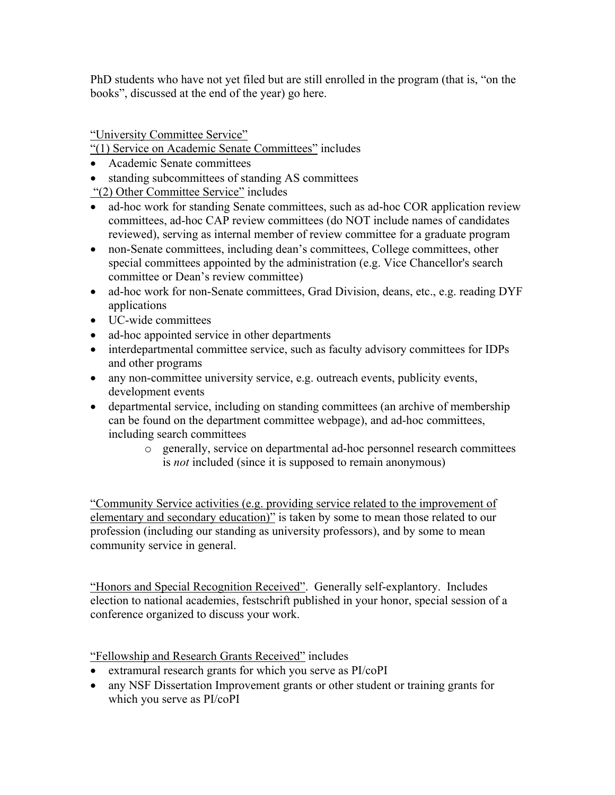PhD students who have not yet filed but are still enrolled in the program (that is, "on the books", discussed at the end of the year) go here.

"University Committee Service"

"(1) Service on Academic Senate Committees" includes

- Academic Senate committees
- standing subcommittees of standing AS committees

"(2) Other Committee Service" includes

- ad-hoc work for standing Senate committees, such as ad-hoc COR application review committees, ad-hoc CAP review committees (do NOT include names of candidates reviewed), serving as internal member of review committee for a graduate program
- non-Senate committees, including dean's committees, College committees, other special committees appointed by the administration (e.g. Vice Chancellor's search committee or Dean's review committee)
- ad-hoc work for non-Senate committees, Grad Division, deans, etc., e.g. reading DYF applications
- UC-wide committees
- ad-hoc appointed service in other departments
- interdepartmental committee service, such as faculty advisory committees for IDPs and other programs
- any non-committee university service, e.g. outreach events, publicity events, development events
- departmental service, including on standing committees (an archive of membership can be found on the department committee webpage), and ad-hoc committees, including search committees
	- o generally, service on departmental ad-hoc personnel research committees is *not* included (since it is supposed to remain anonymous)

"Community Service activities (e.g. providing service related to the improvement of elementary and secondary education)" is taken by some to mean those related to our profession (including our standing as university professors), and by some to mean community service in general.

"Honors and Special Recognition Received". Generally self-explantory. Includes election to national academies, festschrift published in your honor, special session of a conference organized to discuss your work.

"Fellowship and Research Grants Received" includes

- extramural research grants for which you serve as PI/coPI
- any NSF Dissertation Improvement grants or other student or training grants for which you serve as PI/coPI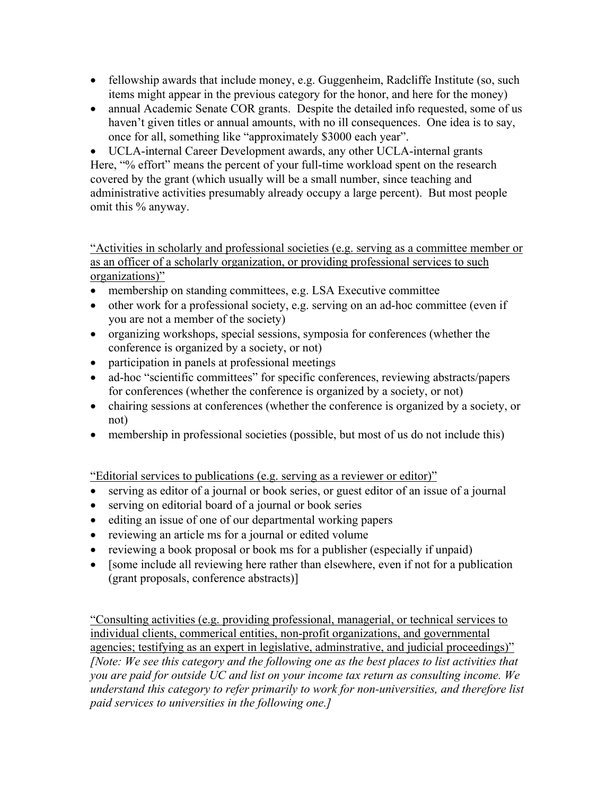- fellowship awards that include money, e.g. Guggenheim, Radcliffe Institute (so, such items might appear in the previous category for the honor, and here for the money)
- annual Academic Senate COR grants. Despite the detailed info requested, some of us haven't given titles or annual amounts, with no ill consequences. One idea is to say, once for all, something like "approximately \$3000 each year".

• UCLA-internal Career Development awards, any other UCLA-internal grants Here, "% effort" means the percent of your full-time workload spent on the research covered by the grant (which usually will be a small number, since teaching and administrative activities presumably already occupy a large percent). But most people omit this % anyway.

"Activities in scholarly and professional societies (e.g. serving as a committee member or as an officer of a scholarly organization, or providing professional services to such organizations)"

- membership on standing committees, e.g. LSA Executive committee
- other work for a professional society, e.g. serving on an ad-hoc committee (even if you are not a member of the society)
- organizing workshops, special sessions, symposia for conferences (whether the conference is organized by a society, or not)
- participation in panels at professional meetings
- ad-hoc "scientific committees" for specific conferences, reviewing abstracts/papers for conferences (whether the conference is organized by a society, or not)
- chairing sessions at conferences (whether the conference is organized by a society, or not)
- membership in professional societies (possible, but most of us do not include this)

"Editorial services to publications (e.g. serving as a reviewer or editor)"

- serving as editor of a journal or book series, or guest editor of an issue of a journal
- serving on editorial board of a journal or book series
- editing an issue of one of our departmental working papers
- reviewing an article ms for a journal or edited volume
- reviewing a book proposal or book ms for a publisher (especially if unpaid)
- [some include all reviewing here rather than elsewhere, even if not for a publication (grant proposals, conference abstracts)]

"Consulting activities (e.g. providing professional, managerial, or technical services to individual clients, commerical entities, non-profit organizations, and governmental agencies; testifying as an expert in legislative, adminstrative, and judicial proceedings)" *[Note: We see this category and the following one as the best places to list activities that you are paid for outside UC and list on your income tax return as consulting income. We understand this category to refer primarily to work for non-universities, and therefore list paid services to universities in the following one.]*